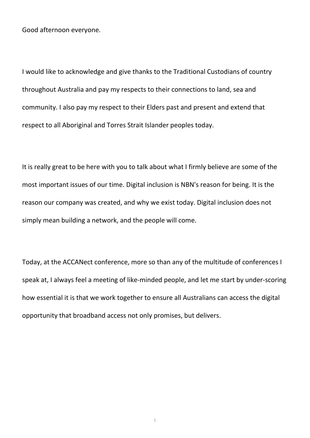Good afternoon everyone.

I would like to acknowledge and give thanks to the Traditional Custodians of country throughout Australia and pay my respects to their connections to land, sea and community. I also pay my respect to their Elders past and present and extend that respect to all Aboriginal and Torres Strait Islander peoples today.

It is really great to be here with you to talk about what I firmly believe are some of the most important issues of our time. Digital inclusion is NBN's reason for being. It is the reason our company was created, and why we exist today. Digital inclusion does not simply mean building a network, and the people will come.

Today, at the ACCANect conference, more so than any of the multitude of conferences I speak at, I always feel a meeting of like-minded people, and let me start by under-scoring how essential it is that we work together to ensure all Australians can access the digital opportunity that broadband access not only promises, but delivers.

1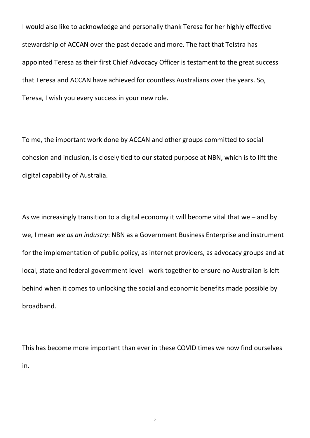I would also like to acknowledge and personally thank Teresa for her highly effective stewardship of ACCAN over the past decade and more. The fact that Telstra has appointed Teresa as their first Chief Advocacy Officer is testament to the great success that Teresa and ACCAN have achieved for countless Australians over the years. So, Teresa, I wish you every success in your new role.

To me, the important work done by ACCAN and other groups committed to social cohesion and inclusion, is closely tied to our stated purpose at NBN, which is to lift the digital capability of Australia.

As we increasingly transition to a digital economy it will become vital that we – and by we, I mean *we as an industry*: NBN as a Government Business Enterprise and instrument for the implementation of public policy, as internet providers, as advocacy groups and at local, state and federal government level - work together to ensure no Australian is left behind when it comes to unlocking the social and economic benefits made possible by broadband.

This has become more important than ever in these COVID times we now find ourselves in.

2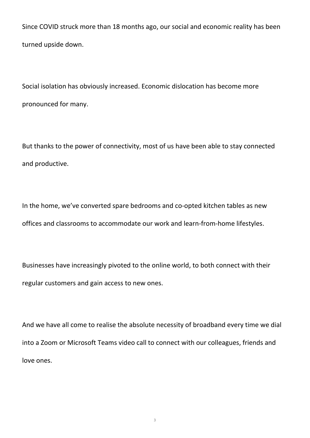Since COVID struck more than 18 months ago, our social and economic reality has been turned upside down.

Social isolation has obviously increased. Economic dislocation has become more pronounced for many.

But thanks to the power of connectivity, most of us have been able to stay connected and productive.

In the home, we've converted spare bedrooms and co-opted kitchen tables as new offices and classrooms to accommodate our work and learn-from-home lifestyles.

Businesses have increasingly pivoted to the online world, to both connect with their regular customers and gain access to new ones.

And we have all come to realise the absolute necessity of broadband every time we dial into a Zoom or Microsoft Teams video call to connect with our colleagues, friends and love ones.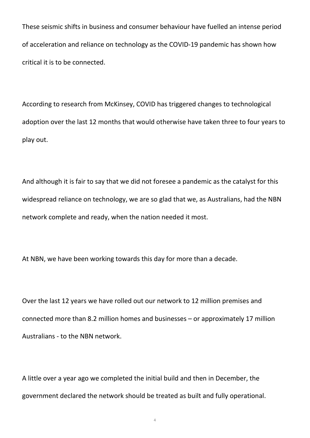These seismic shifts in business and consumer behaviour have fuelled an intense period of acceleration and reliance on technology as the COVID-19 pandemic has shown how critical it is to be connected.

According to research from McKinsey, COVID has triggered changes to technological adoption over the last 12 months that would otherwise have taken three to four years to play out.

And although it is fair to say that we did not foresee a pandemic as the catalyst for this widespread reliance on technology, we are so glad that we, as Australians, had the NBN network complete and ready, when the nation needed it most.

At NBN, we have been working towards this day for more than a decade.

Over the last 12 years we have rolled out our network to 12 million premises and connected more than 8.2 million homes and businesses – or approximately 17 million Australians - to the NBN network.

A little over a year ago we completed the initial build and then in December, the government declared the network should be treated as built and fully operational.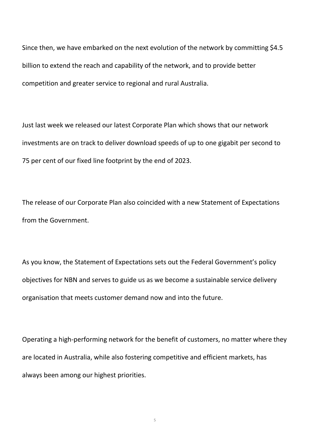Since then, we have embarked on the next evolution of the network by committing \$4.5 billion to extend the reach and capability of the network, and to provide better competition and greater service to regional and rural Australia.

Just last week we released our latest Corporate Plan which shows that our network investments are on track to deliver download speeds of up to one gigabit per second to 75 per cent of our fixed line footprint by the end of 2023.

The release of our Corporate Plan also coincided with a new Statement of Expectations from the Government.

As you know, the Statement of Expectations sets out the Federal Government's policy objectives for NBN and serves to guide us as we become a sustainable service delivery organisation that meets customer demand now and into the future.

Operating a high-performing network for the benefit of customers, no matter where they are located in Australia, while also fostering competitive and efficient markets, has always been among our highest priorities.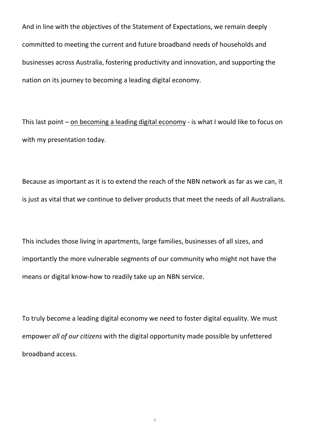And in line with the objectives of the Statement of Expectations, we remain deeply committed to meeting the current and future broadband needs of households and businesses across Australia, fostering productivity and innovation, and supporting the nation on its journey to becoming a leading digital economy.

This last point – on becoming a leading digital economy - is what I would like to focus on with my presentation today.

Because as important as it is to extend the reach of the NBN network as far as we can, it is just as vital that we continue to deliver products that meet the needs of all Australians.

This includes those living in apartments, large families, businesses of all sizes, and importantly the more vulnerable segments of our community who might not have the means or digital know-how to readily take up an NBN service.

To truly become a leading digital economy we need to foster digital equality. We must empower *all of our citizens* with the digital opportunity made possible by unfettered broadband access.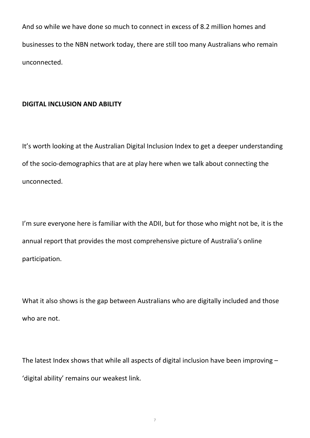And so while we have done so much to connect in excess of 8.2 million homes and businesses to the NBN network today, there are still too many Australians who remain unconnected.

## **DIGITAL INCLUSION AND ABILITY**

It's worth looking at the Australian Digital Inclusion Index to get a deeper understanding of the socio-demographics that are at play here when we talk about connecting the unconnected.

I'm sure everyone here is familiar with the ADII, but for those who might not be, it is the annual report that provides the most comprehensive picture of Australia's online participation.

What it also shows is the gap between Australians who are digitally included and those who are not.

The latest Index shows that while all aspects of digital inclusion have been improving – 'digital ability' remains our weakest link.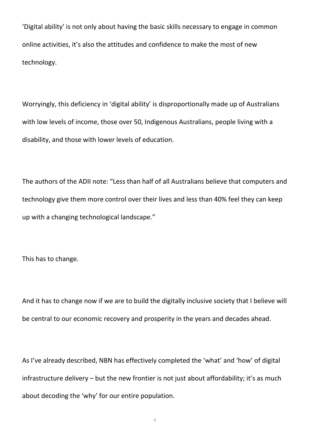'Digital ability' is not only about having the basic skills necessary to engage in common online activities, it's also the attitudes and confidence to make the most of new technology.

Worryingly, this deficiency in 'digital ability' is disproportionally made up of Australians with low levels of income, those over 50, Indigenous Australians, people living with a disability, and those with lower levels of education.

The authors of the ADII note: "Less than half of all Australians believe that computers and technology give them more control over their lives and less than 40% feel they can keep up with a changing technological landscape."

This has to change.

And it has to change now if we are to build the digitally inclusive society that I believe will be central to our economic recovery and prosperity in the years and decades ahead.

As I've already described, NBN has effectively completed the 'what' and 'how' of digital infrastructure delivery – but the new frontier is not just about affordability; it's as much about decoding the 'why' for our entire population.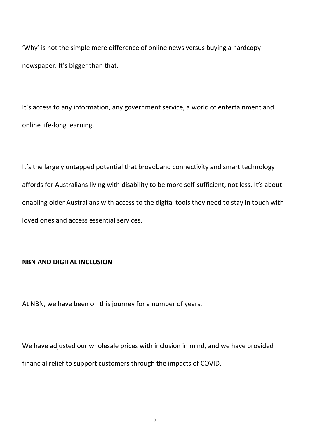'Why' is not the simple mere difference of online news versus buying a hardcopy newspaper. It's bigger than that.

It's access to any information, any government service, a world of entertainment and online life-long learning.

It's the largely untapped potential that broadband connectivity and smart technology affords for Australians living with disability to be more self-sufficient, not less. It's about enabling older Australians with access to the digital tools they need to stay in touch with loved ones and access essential services.

## **NBN AND DIGITAL INCLUSION**

At NBN, we have been on this journey for a number of years.

We have adjusted our wholesale prices with inclusion in mind, and we have provided financial relief to support customers through the impacts of COVID.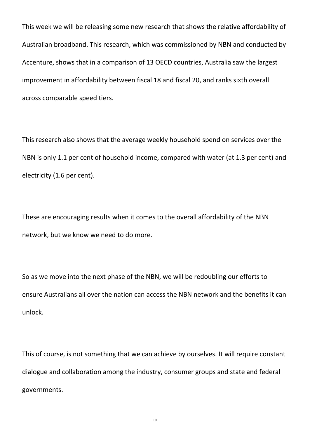This week we will be releasing some new research that shows the relative affordability of Australian broadband. This research, which was commissioned by NBN and conducted by Accenture, shows that in a comparison of 13 OECD countries, Australia saw the largest improvement in affordability between fiscal 18 and fiscal 20, and ranks sixth overall across comparable speed tiers.

This research also shows that the average weekly household spend on services over the NBN is only 1.1 per cent of household income, compared with water (at 1.3 per cent) and electricity (1.6 per cent).

These are encouraging results when it comes to the overall affordability of the NBN network, but we know we need to do more.

So as we move into the next phase of the NBN, we will be redoubling our efforts to ensure Australians all over the nation can access the NBN network and the benefits it can unlock.

This of course, is not something that we can achieve by ourselves. It will require constant dialogue and collaboration among the industry, consumer groups and state and federal governments.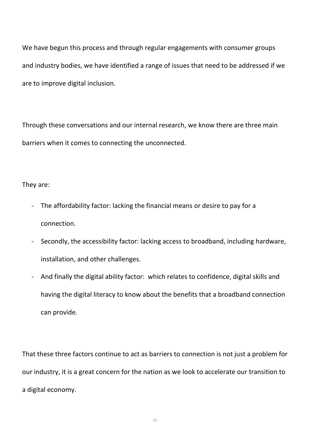We have begun this process and through regular engagements with consumer groups and industry bodies, we have identified a range of issues that need to be addressed if we are to improve digital inclusion.

Through these conversations and our internal research, we know there are three main barriers when it comes to connecting the unconnected.

They are:

- The affordability factor: lacking the financial means or desire to pay for a connection.
- Secondly, the accessibility factor: lacking access to broadband, including hardware, installation, and other challenges.
- And finally the digital ability factor: which relates to confidence, digital skills and having the digital literacy to know about the benefits that a broadband connection can provide.

That these three factors continue to act as barriers to connection is not just a problem for our industry, it is a great concern for the nation as we look to accelerate our transition to a digital economy.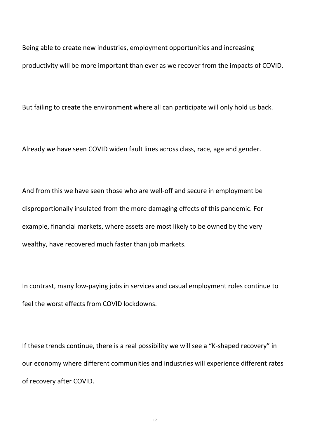Being able to create new industries, employment opportunities and increasing productivity will be more important than ever as we recover from the impacts of COVID.

But failing to create the environment where all can participate will only hold us back.

Already we have seen COVID widen fault lines across class, race, age and gender.

And from this we have seen those who are well-off and secure in employment be disproportionally insulated from the more damaging effects of this pandemic. For example, financial markets, where assets are most likely to be owned by the very wealthy, have recovered much faster than job markets.

In contrast, many low-paying jobs in services and casual employment roles continue to feel the worst effects from COVID lockdowns.

If these trends continue, there is a real possibility we will see a "K-shaped recovery" in our economy where different communities and industries will experience different rates of recovery after COVID.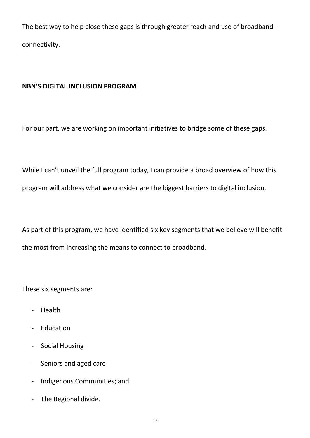The best way to help close these gaps is through greater reach and use of broadband connectivity.

# **NBN'S DIGITAL INCLUSION PROGRAM**

For our part, we are working on important initiatives to bridge some of these gaps.

While I can't unveil the full program today, I can provide a broad overview of how this program will address what we consider are the biggest barriers to digital inclusion.

As part of this program, we have identified six key segments that we believe will benefit the most from increasing the means to connect to broadband.

These six segments are:

- Health
- Education
- Social Housing
- Seniors and aged care
- Indigenous Communities; and
- The Regional divide.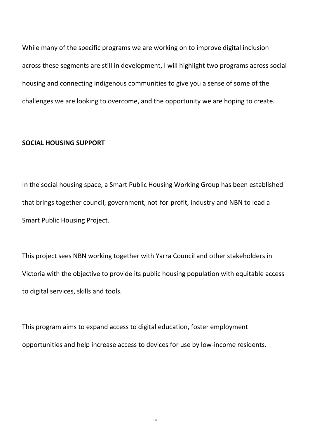While many of the specific programs we are working on to improve digital inclusion across these segments are still in development, I will highlight two programs across social housing and connecting indigenous communities to give you a sense of some of the challenges we are looking to overcome, and the opportunity we are hoping to create.

#### **SOCIAL HOUSING SUPPORT**

In the social housing space, a Smart Public Housing Working Group has been established that brings together council, government, not-for-profit, industry and NBN to lead a Smart Public Housing Project.

This project sees NBN working together with Yarra Council and other stakeholders in Victoria with the objective to provide its public housing population with equitable access to digital services, skills and tools.

This program aims to expand access to digital education, foster employment opportunities and help increase access to devices for use by low-income residents.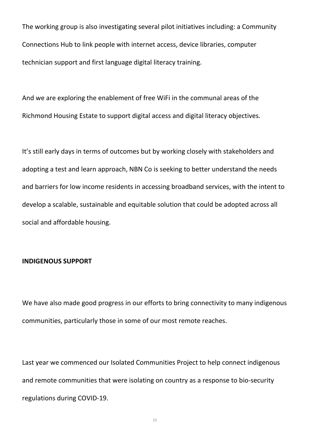The working group is also investigating several pilot initiatives including: a Community Connections Hub to link people with internet access, device libraries, computer technician support and first language digital literacy training.

And we are exploring the enablement of free WiFi in the communal areas of the Richmond Housing Estate to support digital access and digital literacy objectives.

It's still early days in terms of outcomes but by working closely with stakeholders and adopting a test and learn approach, NBN Co is seeking to better understand the needs and barriers for low income residents in accessing broadband services, with the intent to develop a scalable, sustainable and equitable solution that could be adopted across all social and affordable housing.

#### **INDIGENOUS SUPPORT**

We have also made good progress in our efforts to bring connectivity to many indigenous communities, particularly those in some of our most remote reaches.

Last year we commenced our Isolated Communities Project to help connect indigenous and remote communities that were isolating on country as a response to bio-security regulations during COVID-19.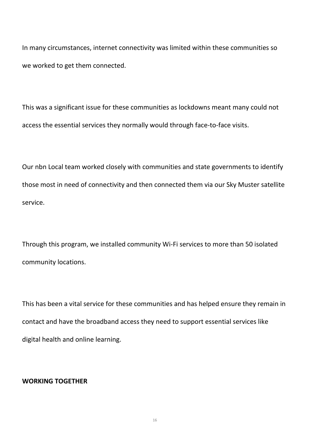In many circumstances, internet connectivity was limited within these communities so we worked to get them connected.

This was a significant issue for these communities as lockdowns meant many could not access the essential services they normally would through face-to-face visits.

Our nbn Local team worked closely with communities and state governments to identify those most in need of connectivity and then connected them via our Sky Muster satellite service.

Through this program, we installed community Wi-Fi services to more than 50 isolated community locations.

This has been a vital service for these communities and has helped ensure they remain in contact and have the broadband access they need to support essential services like digital health and online learning.

### **WORKING TOGETHER**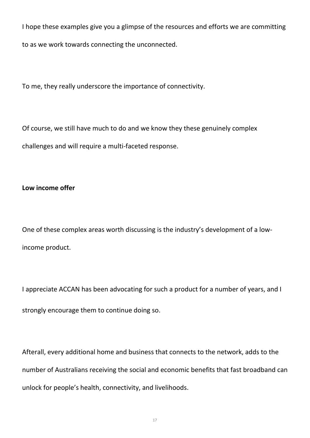I hope these examples give you a glimpse of the resources and efforts we are committing to as we work towards connecting the unconnected.

To me, they really underscore the importance of connectivity.

Of course, we still have much to do and we know they these genuinely complex challenges and will require a multi-faceted response.

## **Low income offer**

One of these complex areas worth discussing is the industry's development of a lowincome product.

I appreciate ACCAN has been advocating for such a product for a number of years, and I strongly encourage them to continue doing so.

Afterall, every additional home and business that connects to the network, adds to the number of Australians receiving the social and economic benefits that fast broadband can unlock for people's health, connectivity, and livelihoods.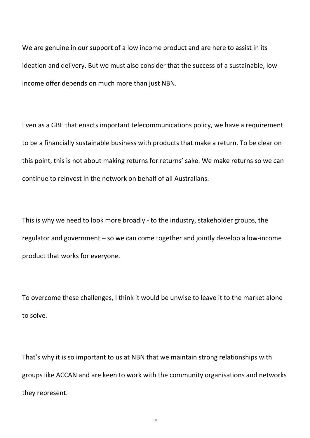We are genuine in our support of a low income product and are here to assist in its ideation and delivery. But we must also consider that the success of a sustainable, lowincome offer depends on much more than just NBN.

Even as a GBE that enacts important telecommunications policy, we have a requirement to be a financially sustainable business with products that make a return. To be clear on this point, this is not about making returns for returns' sake. We make returns so we can continue to reinvest in the network on behalf of all Australians.

This is why we need to look more broadly - to the industry, stakeholder groups, the regulator and government – so we can come together and jointly develop a low-income product that works for everyone.

To overcome these challenges, I think it would be unwise to leave it to the market alone to solve.

That's why it is so important to us at NBN that we maintain strong relationships with groups like ACCAN and are keen to work with the community organisations and networks they represent.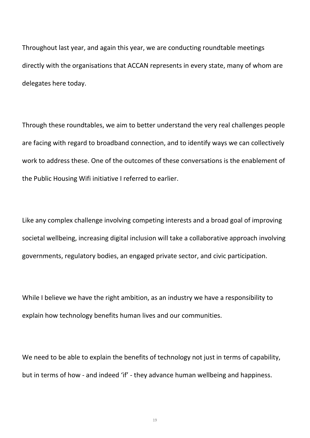Throughout last year, and again this year, we are conducting roundtable meetings directly with the organisations that ACCAN represents in every state, many of whom are delegates here today.

Through these roundtables, we aim to better understand the very real challenges people are facing with regard to broadband connection, and to identify ways we can collectively work to address these. One of the outcomes of these conversations is the enablement of the Public Housing Wifi initiative I referred to earlier.

Like any complex challenge involving competing interests and a broad goal of improving societal wellbeing, increasing digital inclusion will take a collaborative approach involving governments, regulatory bodies, an engaged private sector, and civic participation.

While I believe we have the right ambition, as an industry we have a responsibility to explain how technology benefits human lives and our communities.

We need to be able to explain the benefits of technology not just in terms of capability, but in terms of how - and indeed 'if' - they advance human wellbeing and happiness.